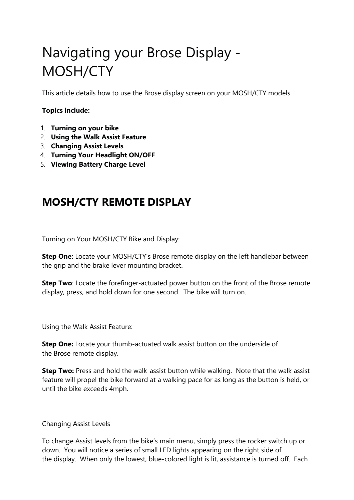# Navigating your Brose Display - MOSH/CTY

This article details how to use the Brose display screen on your MOSH/CTY models

# **Topics include:**

- 1. **Turning on your bike**
- 2. **Using the Walk Assist Feature**
- 3. **Changing Assist Levels**
- 4. **Turning Your Headlight ON/OFF**
- 5. **Viewing Battery Charge Level**

# **MOSH/CTY REMOTE DISPLAY**

# Turning on Your MOSH/CTY Bike and Display:

**Step One:** Locate your MOSH/CTY's Brose remote display on the left handlebar between the grip and the brake lever mounting bracket.

**Step Two**: Locate the forefinger-actuated power button on the front of the Brose remote display, press, and hold down for one second. The bike will turn on.

#### Using the Walk Assist Feature:

**Step One:** Locate your thumb-actuated walk assist button on the underside of the Brose remote display.

**Step Two:** Press and hold the walk-assist button while walking. Note that the walk assist feature will propel the bike forward at a walking pace for as long as the button is held, or until the bike exceeds 4mph.

# Changing Assist Levels

To change Assist levels from the bike's main menu, simply press the rocker switch up or down. You will notice a series of small LED lights appearing on the right side of the display. When only the lowest, blue-colored light is lit, assistance is turned off. Each